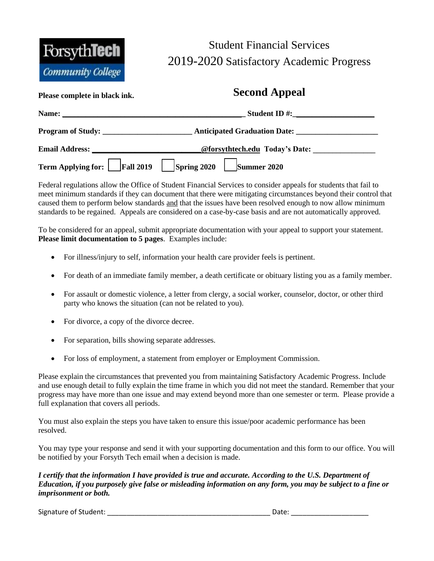

## Student Financial Services 2019-2020 Satisfactory Academic Progress

## **Please complete in black ink. Second Appeal**

| Name:                        | Student ID $\#$ :                                                                  |  |  |  |
|------------------------------|------------------------------------------------------------------------------------|--|--|--|
|                              | Program of Study:                                                                  |  |  |  |
|                              | Email Address: <u>______________________________@forsythtech.edu</u> Today's Date: |  |  |  |
| Term Applying for: Fall 2019 | $\left  \text{Spring } 2020 \right  \left  \text{ Summer } 2020 \right $           |  |  |  |

Federal regulations allow the Office of Student Financial Services to consider appeals for students that fail to meet minimum standards if they can document that there were mitigating circumstances beyond their control that caused them to perform below standards and that the issues have been resolved enough to now allow minimum standards to be regained. Appeals are considered on a case-by-case basis and are not automatically approved.

To be considered for an appeal, submit appropriate documentation with your appeal to support your statement. **Please limit documentation to 5 pages**. Examples include:

- For illness/injury to self, information your health care provider feels is pertinent.
- For death of an immediate family member, a death certificate or obituary listing you as a family member.
- For assault or domestic violence, a letter from clergy, a social worker, counselor, doctor, or other third party who knows the situation (can not be related to you).
- For divorce, a copy of the divorce decree.
- For separation, bills showing separate addresses.
- For loss of employment, a statement from employer or Employment Commission.

Please explain the circumstances that prevented you from maintaining Satisfactory Academic Progress. Include and use enough detail to fully explain the time frame in which you did not meet the standard. Remember that your progress may have more than one issue and may extend beyond more than one semester or term. Please provide a full explanation that covers all periods.

You must also explain the steps you have taken to ensure this issue/poor academic performance has been resolved.

You may type your response and send it with your supporting documentation and this form to our office. You will be notified by your Forsyth Tech email when a decision is made.

*I certify that the information I have provided is true and accurate. According to the U.S. Department of Education, if you purposely give false or misleading information on any form, you may be subject to a fine or imprisonment or both.* 

Signature of Student: \_\_\_\_\_\_\_\_\_\_\_\_\_\_\_\_\_\_\_\_\_\_\_\_\_\_\_\_\_\_\_\_\_\_\_\_\_\_\_\_\_\_ Date: \_\_\_\_\_\_\_\_\_\_\_\_\_\_\_\_\_\_\_\_